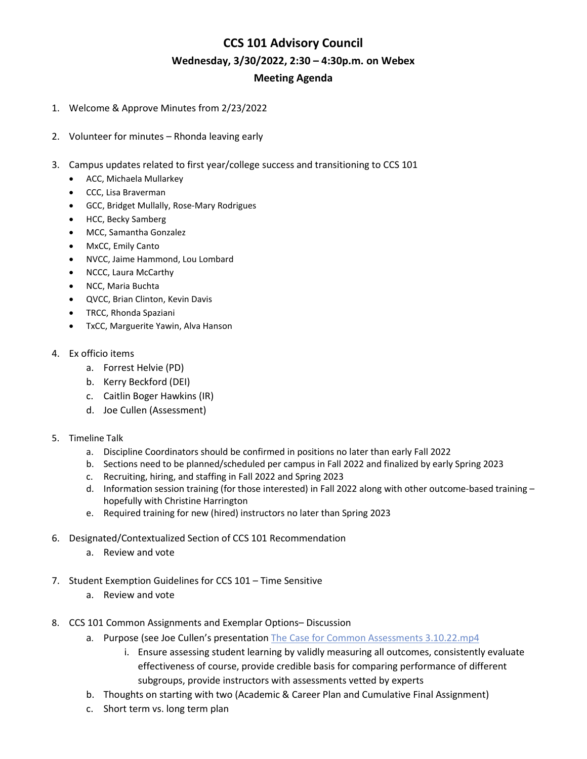# **CCS 101 Advisory Council Wednesday, 3/30/2022, 2:30 – 4:30p.m. on Webex Meeting Agenda**

- 1. Welcome & Approve Minutes from 2/23/2022
- 2. Volunteer for minutes Rhonda leaving early
- 3. Campus updates related to first year/college success and transitioning to CCS 101
	- ACC, Michaela Mullarkey
	- CCC, Lisa Braverman
	- GCC, Bridget Mullally, Rose-Mary Rodrigues
	- HCC, Becky Samberg
	- MCC, Samantha Gonzalez
	- MxCC, Emily Canto
	- NVCC, Jaime Hammond, Lou Lombard
	- NCCC, Laura McCarthy
	- NCC, Maria Buchta
	- QVCC, Brian Clinton, Kevin Davis
	- TRCC, Rhonda Spaziani
	- TxCC, Marguerite Yawin, Alva Hanson
- 4. Ex officio items
	- a. Forrest Helvie (PD)
	- b. Kerry Beckford (DEI)
	- c. Caitlin Boger Hawkins (IR)
	- d. Joe Cullen (Assessment)
- 5. Timeline Talk
	- a. Discipline Coordinators should be confirmed in positions no later than early Fall 2022
	- b. Sections need to be planned/scheduled per campus in Fall 2022 and finalized by early Spring 2023
	- c. Recruiting, hiring, and staffing in Fall 2022 and Spring 2023
	- d. Information session training (for those interested) in Fall 2022 along with other outcome-based training hopefully with Christine Harrington
	- e. Required training for new (hired) instructors no later than Spring 2023
- 6. Designated/Contextualized Section of CCS 101 Recommendation
	- a. Review and vote
- 7. Student Exemption Guidelines for CCS 101 Time Sensitive
	- a. Review and vote
- 8. CCS 101 Common Assignments and Exemplar Options– Discussion
	- a. Purpose (see Joe Cullen's presentation [The Case for Common Assessments 3.10.22.mp4](https://ctregents.sharepoint.com/:v:/s/MeasuringStudentSuccessinCCS1012/EcuMXv6rG8VCik-6W-nGC1EBRiZJ40IShGt30CxeCQ56Gg?isSPOFile=1)
		- i. Ensure assessing student learning by validly measuring all outcomes, consistently evaluate effectiveness of course, provide credible basis for comparing performance of different subgroups, provide instructors with assessments vetted by experts
	- b. Thoughts on starting with two (Academic & Career Plan and Cumulative Final Assignment)
	- c. Short term vs. long term plan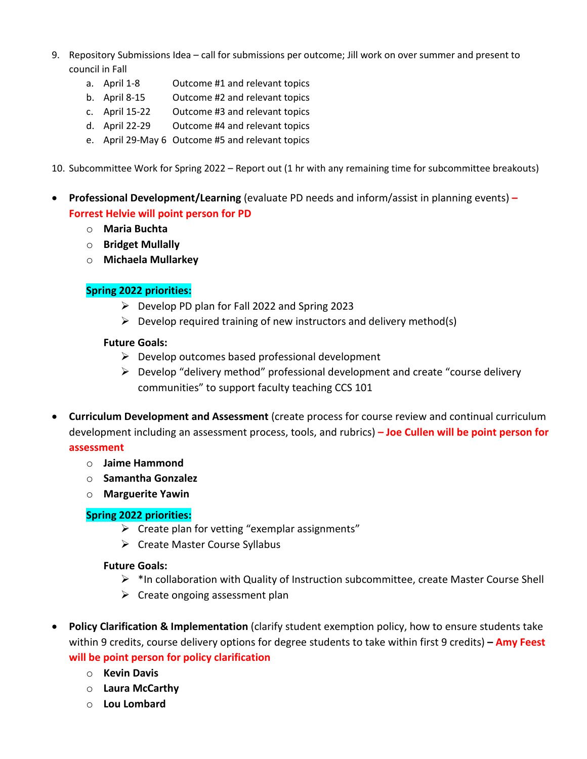- 9. Repository Submissions Idea call for submissions per outcome; Jill work on over summer and present to council in Fall
	- a. April 1-8 Outcome #1 and relevant topics
	- b. April 8-15 Outcome #2 and relevant topics
	- c. April 15-22 Outcome #3 and relevant topics
	- d. April 22-29 Outcome #4 and relevant topics
	- e. April 29-May 6 Outcome #5 and relevant topics
- 10. Subcommittee Work for Spring 2022 Report out (1 hr with any remaining time for subcommittee breakouts)
- **Professional Development/Learning** (evaluate PD needs and inform/assist in planning events) **– Forrest Helvie will point person for PD**
	- o **Maria Buchta**
	- o **Bridget Mullally**
	- o **Michaela Mullarkey**

#### **Spring 2022 priorities:**

- $\triangleright$  Develop PD plan for Fall 2022 and Spring 2023
- $\triangleright$  Develop required training of new instructors and delivery method(s)

#### **Future Goals:**

- $\triangleright$  Develop outcomes based professional development
- $\triangleright$  Develop "delivery method" professional development and create "course delivery communities" to support faculty teaching CCS 101
- **Curriculum Development and Assessment** (create process for course review and continual curriculum development including an assessment process, tools, and rubrics) **– Joe Cullen will be point person for assessment**
	- o **Jaime Hammond**
	- o **Samantha Gonzalez**
	- o **Marguerite Yawin**

#### **Spring 2022 priorities:**

- $\triangleright$  Create plan for vetting "exemplar assignments"
- $\triangleright$  Create Master Course Syllabus

#### **Future Goals:**

- $\triangleright$  \*In collaboration with Quality of Instruction subcommittee, create Master Course Shell
- $\triangleright$  Create ongoing assessment plan
- **Policy Clarification & Implementation** (clarify student exemption policy, how to ensure students take within 9 credits, course delivery options for degree students to take within first 9 credits) **– Amy Feest will be point person for policy clarification**
	- o **Kevin Davis**
	- o **Laura McCarthy**
	- o **Lou Lombard**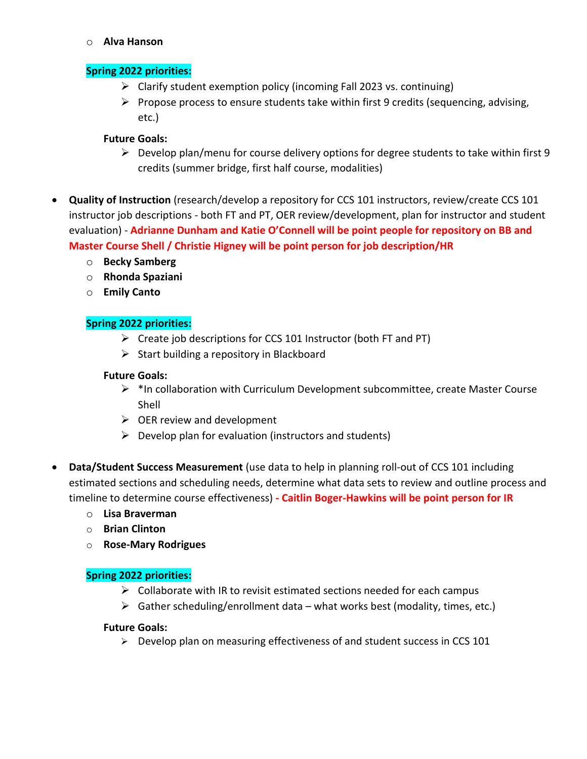o **Alva Hanson**

## **Spring 2022 priorities:**

- $\triangleright$  Clarify student exemption policy (incoming Fall 2023 vs. continuing)
- $\triangleright$  Propose process to ensure students take within first 9 credits (sequencing, advising, etc.)

## **Future Goals:**

- $\triangleright$  Develop plan/menu for course delivery options for degree students to take within first 9 credits (summer bridge, first half course, modalities)
- **Quality of Instruction** (research/develop a repository for CCS 101 instructors, review/create CCS 101 instructor job descriptions - both FT and PT, OER review/development, plan for instructor and student evaluation) - **Adrianne Dunham and Katie O'Connell will be point people for repository on BB and Master Course Shell / Christie Higney will be point person for job description/HR**
	- o **Becky Samberg**
	- o **Rhonda Spaziani**
	- o **Emily Canto**

# **Spring 2022 priorities:**

- $\triangleright$  Create job descriptions for CCS 101 Instructor (both FT and PT)
- $\triangleright$  Start building a repository in Blackboard

#### **Future Goals:**

- $\triangleright$  \*In collaboration with Curriculum Development subcommittee, create Master Course Shell
- $\triangleright$  OER review and development
- $\triangleright$  Develop plan for evaluation (instructors and students)
- **Data/Student Success Measurement** (use data to help in planning roll-out of CCS 101 including estimated sections and scheduling needs, determine what data sets to review and outline process and timeline to determine course effectiveness) **- Caitlin Boger-Hawkins will be point person for IR** 
	- o **Lisa Braverman**
	- o **Brian Clinton**
	- o **Rose-Mary Rodrigues**

### **Spring 2022 priorities:**

- $\triangleright$  Collaborate with IR to revisit estimated sections needed for each campus
- $\triangleright$  Gather scheduling/enrollment data what works best (modality, times, etc.)

### **Future Goals:**

> Develop plan on measuring effectiveness of and student success in CCS 101